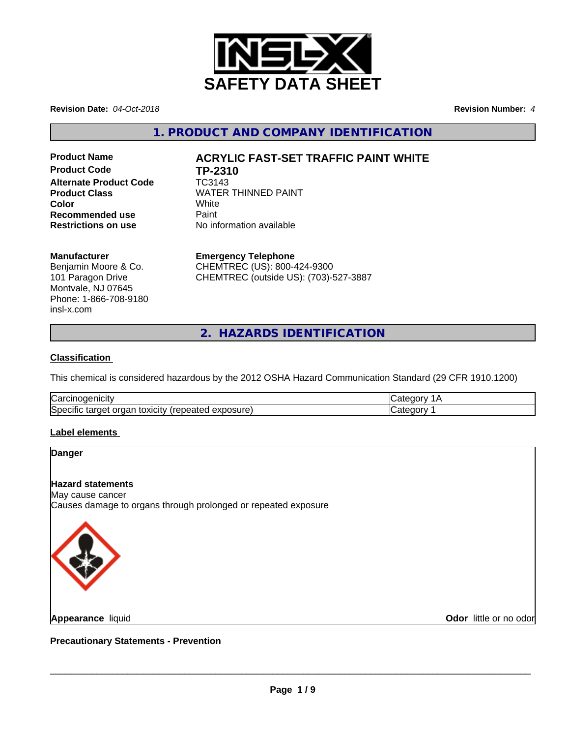

**Revision Date:** *04-Oct-2018* **Revision Number:** *4*

**1. PRODUCT AND COMPANY IDENTIFICATION**

**Product Code TP-2310 Alternate Product Code** TC3143 **Recommended use** Paint<br> **Restrictions on use** No inf

# **Product Name ACRYLIC FAST-SET TRAFFIC PAINT WHITE**

**Product Class WATER THINNED PAINT Color** White White **Restrictions on use** No information available

#### **Manufacturer**

Benjamin Moore & Co. 101 Paragon Drive Montvale, NJ 07645 Phone: 1-866-708-9180 insl-x.com

**Emergency Telephone**

CHEMTREC (US): 800-424-9300 CHEMTREC (outside US): (703)-527-3887

**2. HAZARDS IDENTIFICATION**

## **Classification**

This chemical is considered hazardous by the 2012 OSHA Hazard Communication Standard (29 CFR 1910.1200)

| ⌒<br>luai<br>ш                                                                          |  |
|-----------------------------------------------------------------------------------------|--|
| Spe<br>.oosure<br><b>UXICITY</b> I'M<br>″∨د<br>$\cdots$<br>œ<br>aie,<br>таг<br>ラハト<br>. |  |

## **Label elements**

| <b>Danger</b>                                                                      |  |
|------------------------------------------------------------------------------------|--|
| <b>Hazard statements</b>                                                           |  |
| May cause cancer<br>Causes damage to organs through prolonged or repeated exposure |  |
|                                                                                    |  |
| $\left( \frac{1}{2} \right)$                                                       |  |
|                                                                                    |  |
|                                                                                    |  |

**Appearance** liquid

**Odor** little or no odor

**Precautionary Statements - Prevention**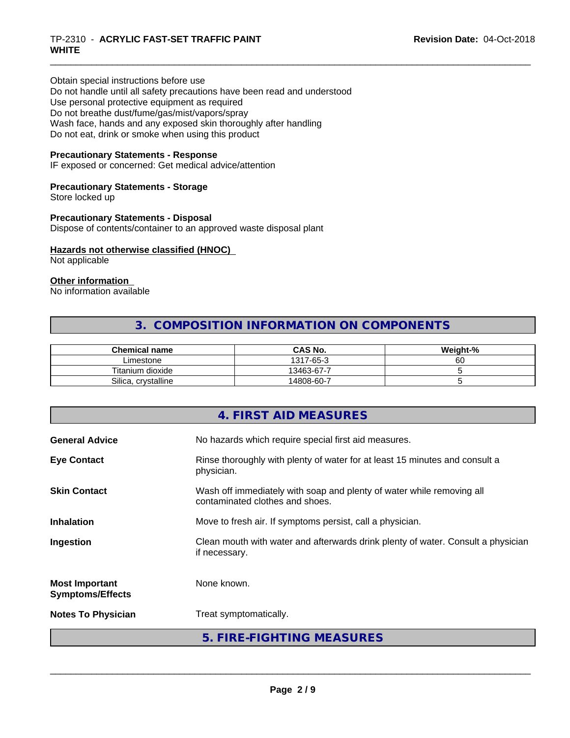# \_\_\_\_\_\_\_\_\_\_\_\_\_\_\_\_\_\_\_\_\_\_\_\_\_\_\_\_\_\_\_\_\_\_\_\_\_\_\_\_\_\_\_\_\_\_\_\_\_\_\_\_\_\_\_\_\_\_\_\_\_\_\_\_\_\_\_\_\_\_\_\_\_\_\_\_\_\_\_\_\_\_\_\_\_\_\_\_\_\_\_\_\_ TP-2310 - **ACRYLIC FAST-SET TRAFFIC PAINT WHITE**

Obtain special instructions before use Do not handle until all safety precautions have been read and understood Use personal protective equipment as required Do not breathe dust/fume/gas/mist/vapors/spray Wash face, hands and any exposed skin thoroughly after handling Do not eat, drink or smoke when using this product

## **Precautionary Statements - Response**

IF exposed or concerned: Get medical advice/attention

#### **Precautionary Statements - Storage**

Store locked up

#### **Precautionary Statements - Disposal**

Dispose of contents/container to an approved waste disposal plant

#### **Hazards not otherwise classified (HNOC)**

Not applicable

#### **Other information**

No information available

# **3. COMPOSITION INFORMATION ON COMPONENTS**

| <b>Chemical name</b>     | CAS No.    | Weight-% |
|--------------------------|------------|----------|
| ∟imestone                | 1317-65-3  | 60       |
| Titanium dioxide         | 13463-67-7 |          |
| Silica,<br>, crystalline | 14808-60-7 |          |

|                                                  | 4. FIRST AID MEASURES                                                                                    |
|--------------------------------------------------|----------------------------------------------------------------------------------------------------------|
| <b>General Advice</b>                            | No hazards which require special first aid measures.                                                     |
| <b>Eye Contact</b>                               | Rinse thoroughly with plenty of water for at least 15 minutes and consult a<br>physician.                |
| <b>Skin Contact</b>                              | Wash off immediately with soap and plenty of water while removing all<br>contaminated clothes and shoes. |
| <b>Inhalation</b>                                | Move to fresh air. If symptoms persist, call a physician.                                                |
| Ingestion                                        | Clean mouth with water and afterwards drink plenty of water. Consult a physician<br>if necessary.        |
| <b>Most Important</b><br><b>Symptoms/Effects</b> | None known.                                                                                              |
| <b>Notes To Physician</b>                        | Treat symptomatically.                                                                                   |
|                                                  | 5. FIRE-FIGHTING MEASURES                                                                                |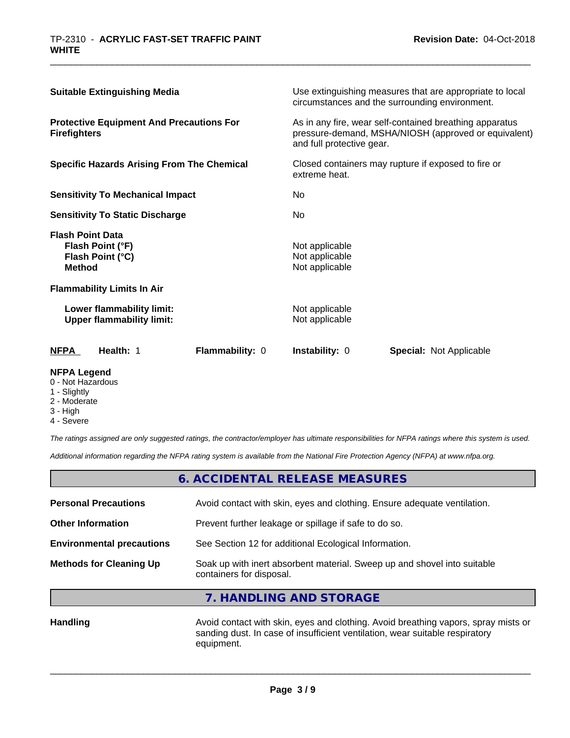| <b>Suitable Extinguishing Media</b>                                    |                                                               | Use extinguishing measures that are appropriate to local<br>circumstances and the surrounding environment.                                   |                                                    |                         |
|------------------------------------------------------------------------|---------------------------------------------------------------|----------------------------------------------------------------------------------------------------------------------------------------------|----------------------------------------------------|-------------------------|
| <b>Protective Equipment And Precautions For</b><br><b>Firefighters</b> |                                                               | As in any fire, wear self-contained breathing apparatus<br>pressure-demand, MSHA/NIOSH (approved or equivalent)<br>and full protective gear. |                                                    |                         |
| <b>Specific Hazards Arising From The Chemical</b>                      |                                                               | Closed containers may rupture if exposed to fire or<br>extreme heat.                                                                         |                                                    |                         |
| <b>Sensitivity To Mechanical Impact</b>                                |                                                               | No                                                                                                                                           |                                                    |                         |
| <b>Sensitivity To Static Discharge</b>                                 |                                                               | No.                                                                                                                                          |                                                    |                         |
| <b>Flash Point Data</b><br><b>Method</b>                               | Flash Point (°F)<br>Flash Point (°C)                          |                                                                                                                                              | Not applicable<br>Not applicable<br>Not applicable |                         |
|                                                                        | <b>Flammability Limits In Air</b>                             |                                                                                                                                              |                                                    |                         |
|                                                                        | Lower flammability limit:<br><b>Upper flammability limit:</b> |                                                                                                                                              | Not applicable<br>Not applicable                   |                         |
| <b>NFPA</b>                                                            | Health: 1                                                     | <b>Flammability: 0</b>                                                                                                                       | Instability: 0                                     | Special: Not Applicable |

#### **NFPA Legend**

- 0 Not Hazardous
- 1 Slightly
- 2 Moderate
- 3 High
- 4 Severe

*The ratings assigned are only suggested ratings, the contractor/employer has ultimate responsibilities for NFPA ratings where this system is used.*

*Additional information regarding the NFPA rating system is available from the National Fire Protection Agency (NFPA) at www.nfpa.org.*

|                                  | 6. ACCIDENTAL RELEASE MEASURES                                                                       |  |
|----------------------------------|------------------------------------------------------------------------------------------------------|--|
| <b>Personal Precautions</b>      | Avoid contact with skin, eyes and clothing. Ensure adequate ventilation.                             |  |
| <b>Other Information</b>         | Prevent further leakage or spillage if safe to do so.                                                |  |
| <b>Environmental precautions</b> | See Section 12 for additional Ecological Information.                                                |  |
| <b>Methods for Cleaning Up</b>   | Soak up with inert absorbent material. Sweep up and shovel into suitable<br>containers for disposal. |  |

**7. HANDLING AND STORAGE**

Handling **Handling** Avoid contact with skin, eyes and clothing. Avoid breathing vapors, spray mists or sanding dust. In case of insufficient ventilation, wear suitable respiratory equipment.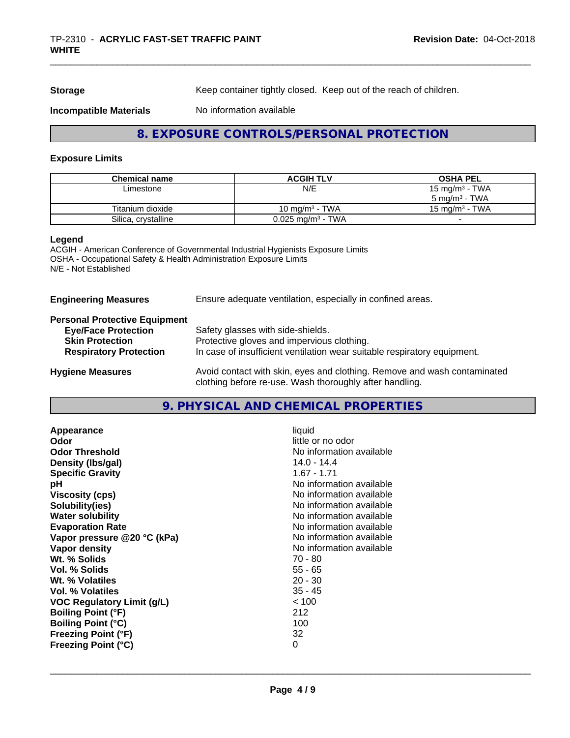**Storage** Keep container tightly closed. Keep out of the reach of children.

#### **Incompatible Materials** No information available

# **8. EXPOSURE CONTROLS/PERSONAL PROTECTION**

#### **Exposure Limits**

| <b>Chemical name</b> | <b>ACGIH TLV</b>                | <b>OSHA PEL</b>            |
|----------------------|---------------------------------|----------------------------|
| Limestone            | N/E                             | 15 mg/m <sup>3</sup> - TWA |
|                      |                                 | $5 \text{ ma/m}^3$ - TWA   |
| Titanium dioxide     | 10 mg/m $3$ - TWA               | $15 \text{ ma/m}^3$ - TWA  |
| Silica, crystalline  | $0.025$ mg/m <sup>3</sup> - TWA |                            |

#### **Legend**

ACGIH - American Conference of Governmental Industrial Hygienists Exposure Limits OSHA - Occupational Safety & Health Administration Exposure Limits N/E - Not Established

| <b>Engineering Measures</b> | Ensure adequate ventilation, especially in confined areas. |  |
|-----------------------------|------------------------------------------------------------|--|
|                             |                                                            |  |

## **Personal Protective Equipment**

| <b>Eye/Face Protection</b>    | Safety glasses with side-shields.                                                                                                   |
|-------------------------------|-------------------------------------------------------------------------------------------------------------------------------------|
| <b>Skin Protection</b>        | Protective gloves and impervious clothing.                                                                                          |
| <b>Respiratory Protection</b> | In case of insufficient ventilation wear suitable respiratory equipment.                                                            |
| <b>Hygiene Measures</b>       | Avoid contact with skin, eyes and clothing. Remove and wash contaminated<br>clothing before re-use. Wash thoroughly after handling. |

# **9. PHYSICAL AND CHEMICAL PROPERTIES**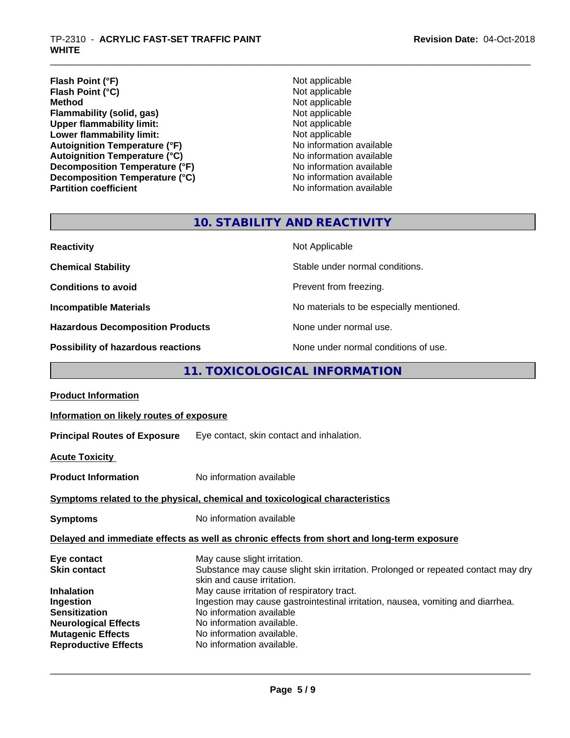- **Flash Point (°F)**<br> **Flash Point (°C)**<br> **Flash Point (°C)**<br> **C Flash Point (°C)**<br>Method **Flammability (solid, gas)**<br> **Commability limit:**<br>
Upper flammability limit:<br>
Not applicable **Upper flammability limit:**<br> **Lower flammability limit:**<br>
Not applicable<br>
Not applicable **Lower flammability limit:**<br> **Autoignition Temperature (°F)**<br>
Mo information available **Autoignition Temperature (°F)**<br> **Autoignition Temperature (°C)** No information available **Autoignition Temperature (°C)**<br> **Decomposition Temperature (°F)** No information available **Decomposition Temperature (°F) Decomposition Temperature (°C)**<br> **Partition coefficient**<br> **Partition coefficient**<br> **Partition coefficient** 
	- **Not applicable**<br>Not applicable **No information available**

# **10. STABILITY AND REACTIVITY**

| <b>Reactivity</b>                       | Not Applicable                           |
|-----------------------------------------|------------------------------------------|
| <b>Chemical Stability</b>               | Stable under normal conditions.          |
| <b>Conditions to avoid</b>              | Prevent from freezing.                   |
| <b>Incompatible Materials</b>           | No materials to be especially mentioned. |
| <b>Hazardous Decomposition Products</b> | None under normal use.                   |
| Possibility of hazardous reactions      | None under normal conditions of use.     |

# **11. TOXICOLOGICAL INFORMATION**

| <b>Product Information</b>                                                                                                                              |                                                                                                                                                                                                                                                  |  |
|---------------------------------------------------------------------------------------------------------------------------------------------------------|--------------------------------------------------------------------------------------------------------------------------------------------------------------------------------------------------------------------------------------------------|--|
| Information on likely routes of exposure                                                                                                                |                                                                                                                                                                                                                                                  |  |
|                                                                                                                                                         | Principal Routes of Exposure Eye contact, skin contact and inhalation.                                                                                                                                                                           |  |
| <b>Acute Toxicity</b>                                                                                                                                   |                                                                                                                                                                                                                                                  |  |
| <b>Product Information</b>                                                                                                                              | No information available                                                                                                                                                                                                                         |  |
| Symptoms related to the physical, chemical and toxicological characteristics                                                                            |                                                                                                                                                                                                                                                  |  |
| <b>Symptoms</b>                                                                                                                                         | No information available                                                                                                                                                                                                                         |  |
|                                                                                                                                                         | Delayed and immediate effects as well as chronic effects from short and long-term exposure                                                                                                                                                       |  |
| Eye contact<br><b>Skin contact</b>                                                                                                                      | May cause slight irritation.<br>Substance may cause slight skin irritation. Prolonged or repeated contact may dry<br>skin and cause irritation.                                                                                                  |  |
| <b>Inhalation</b><br><b>Ingestion</b><br><b>Sensitization</b><br><b>Neurological Effects</b><br><b>Mutagenic Effects</b><br><b>Reproductive Effects</b> | May cause irritation of respiratory tract.<br>Ingestion may cause gastrointestinal irritation, nausea, vomiting and diarrhea.<br>No information available<br>No information available.<br>No information available.<br>No information available. |  |
|                                                                                                                                                         |                                                                                                                                                                                                                                                  |  |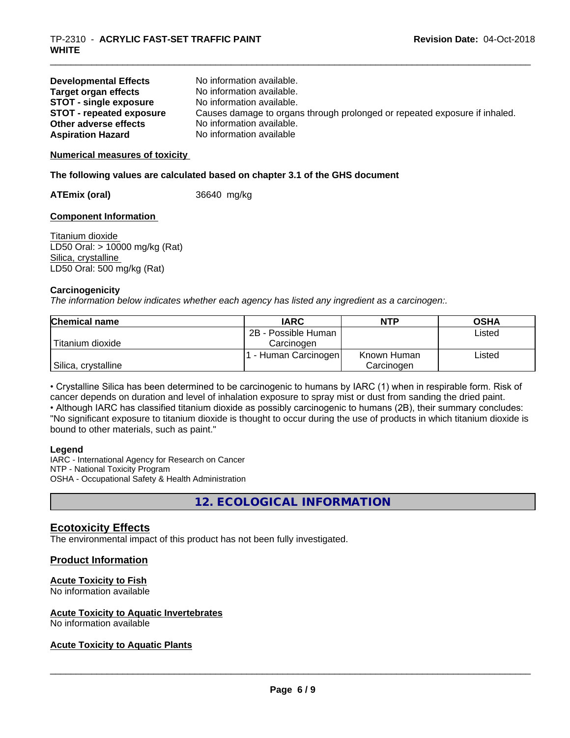| <b>Developmental Effects</b>    | No information available.                                                  |
|---------------------------------|----------------------------------------------------------------------------|
| Target organ effects            | No information available.                                                  |
| <b>STOT - single exposure</b>   | No information available.                                                  |
| <b>STOT - repeated exposure</b> | Causes damage to organs through prolonged or repeated exposure if inhaled. |
| Other adverse effects           | No information available.                                                  |
| <b>Aspiration Hazard</b>        | No information available                                                   |

#### **Numerical measures of toxicity**

#### **The following values are calculated based on chapter 3.1 of the GHS document**

**ATEmix (oral)** 36640 mg/kg

#### **Component Information**

Titanium dioxide LD50 Oral: > 10000 mg/kg (Rat) Silica, crystalline LD50 Oral: 500 mg/kg (Rat)

#### **Carcinogenicity**

*The information below indicateswhether each agency has listed any ingredient as a carcinogen:.*

| <b>Chemical name</b> | <b>IARC</b>          | <b>NTP</b>  | <b>OSHA</b> |
|----------------------|----------------------|-------------|-------------|
|                      | 2B - Possible Human  |             | Listed      |
| Titanium dioxide     | Carcinogen           |             |             |
|                      | . - Human Carcinogen | Known Human | Listed      |
| Silica, crystalline  |                      | Carcinogen  |             |

• Crystalline Silica has been determined to be carcinogenic to humans by IARC (1) when in respirable form. Risk of cancer depends on duration and level of inhalation exposure to spray mist or dust from sanding the dried paint.• Although IARC has classified titanium dioxide as possibly carcinogenic to humans (2B), their summary concludes: "No significant exposure to titanium dioxide is thought to occur during the use of products in which titanium dioxide is bound to other materials, such as paint."

#### **Legend**

IARC - International Agency for Research on Cancer NTP - National Toxicity Program OSHA - Occupational Safety & Health Administration

**12. ECOLOGICAL INFORMATION**

## **Ecotoxicity Effects**

The environmental impact of this product has not been fully investigated.

#### **Product Information**

#### **Acute Toxicity to Fish**

No information available

#### **Acute Toxicity to Aquatic Invertebrates**

No information available

#### **Acute Toxicity to Aquatic Plants**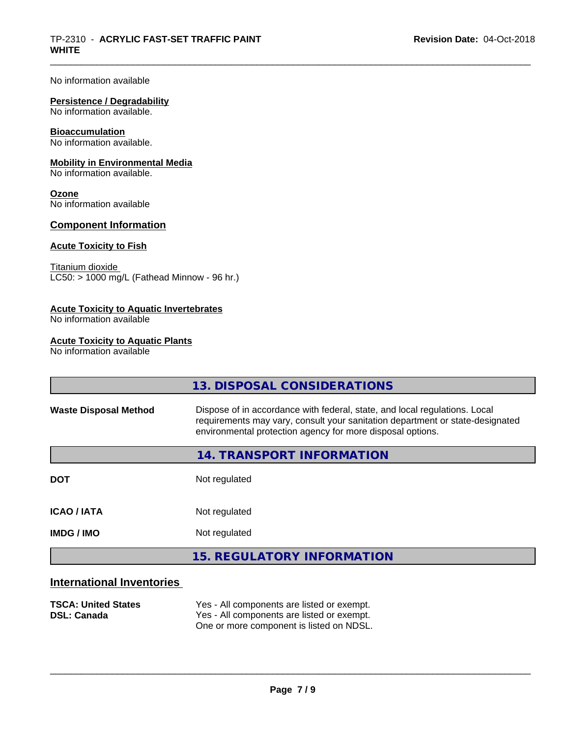No information available

# **Persistence / Degradability**

No information available.

#### **Bioaccumulation**

No information available.

#### **Mobility in Environmental Media**

No information available.

#### **Ozone**

No information available

#### **Component Information**

#### **Acute Toxicity to Fish**

Titanium dioxide  $\overline{\text{LC50:}}$  > 1000 mg/L (Fathead Minnow - 96 hr.)

## **Acute Toxicity to Aquatic Invertebrates**

No information available

## **Acute Toxicity to Aquatic Plants**

No information available

|                              | 13. DISPOSAL CONSIDERATIONS                                                                                                                                                                                               |
|------------------------------|---------------------------------------------------------------------------------------------------------------------------------------------------------------------------------------------------------------------------|
| <b>Waste Disposal Method</b> | Dispose of in accordance with federal, state, and local regulations. Local<br>requirements may vary, consult your sanitation department or state-designated<br>environmental protection agency for more disposal options. |
|                              | 14. TRANSPORT INFORMATION                                                                                                                                                                                                 |
| <b>DOT</b>                   | Not regulated                                                                                                                                                                                                             |
| <b>ICAO / IATA</b>           | Not regulated                                                                                                                                                                                                             |
| <b>IMDG/IMO</b>              | Not regulated                                                                                                                                                                                                             |
|                              | <b>15. REGULATORY INFORMATION</b>                                                                                                                                                                                         |
|                              |                                                                                                                                                                                                                           |

# **International Inventories**

| <b>TSCA: United States</b> | Yes - All components are listed or exempt. |
|----------------------------|--------------------------------------------|
| <b>DSL: Canada</b>         | Yes - All components are listed or exempt. |
|                            | One or more component is listed on NDSL.   |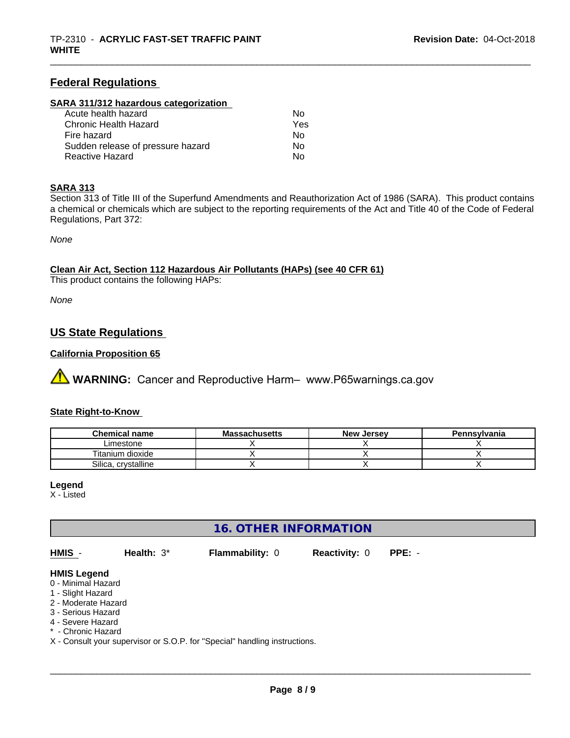# **Federal Regulations**

#### **SARA 311/312 hazardous categorization**

| Acute health hazard               | No  |  |
|-----------------------------------|-----|--|
| Chronic Health Hazard             | Yes |  |
| Fire hazard                       | No  |  |
| Sudden release of pressure hazard | Nο  |  |
| Reactive Hazard                   | Nο  |  |

### **SARA 313**

Section 313 of Title III of the Superfund Amendments and Reauthorization Act of 1986 (SARA). This product contains a chemical or chemicals which are subject to the reporting requirements of the Act and Title 40 of the Code of Federal Regulations, Part 372:

*None*

**Clean Air Act,Section 112 Hazardous Air Pollutants (HAPs) (see 40 CFR 61)**

This product contains the following HAPs:

*None*

# **US State Regulations**

# **California Proposition 65**

**AN** WARNING: Cancer and Reproductive Harm– www.P65warnings.ca.gov

#### **State Right-to-Know**

| <b>Chemical name</b>   | <b>Massachusetts</b> | <b>New Jersey</b> | Pennsylvania |
|------------------------|----------------------|-------------------|--------------|
| ∟imestone              |                      |                   |              |
| Titanium dioxide       |                      |                   |              |
| Silica.<br>crystalline |                      |                   |              |

#### **Legend**

X - Listed

# **16. OTHER INFORMATION**

**HMIS** - **Health:** 3\* **Flammability:** 0 **Reactivity:** 0 **PPE:** -

 $\overline{\phantom{a}}$  ,  $\overline{\phantom{a}}$  ,  $\overline{\phantom{a}}$  ,  $\overline{\phantom{a}}$  ,  $\overline{\phantom{a}}$  ,  $\overline{\phantom{a}}$  ,  $\overline{\phantom{a}}$  ,  $\overline{\phantom{a}}$  ,  $\overline{\phantom{a}}$  ,  $\overline{\phantom{a}}$  ,  $\overline{\phantom{a}}$  ,  $\overline{\phantom{a}}$  ,  $\overline{\phantom{a}}$  ,  $\overline{\phantom{a}}$  ,  $\overline{\phantom{a}}$  ,  $\overline{\phantom{a}}$ 

#### **HMIS Legend**

- 0 Minimal Hazard
- 1 Slight Hazard
- 2 Moderate Hazard
- 3 Serious Hazard
- 4 Severe Hazard
- \* Chronic Hazard
- X Consult your supervisor or S.O.P. for "Special" handling instructions.